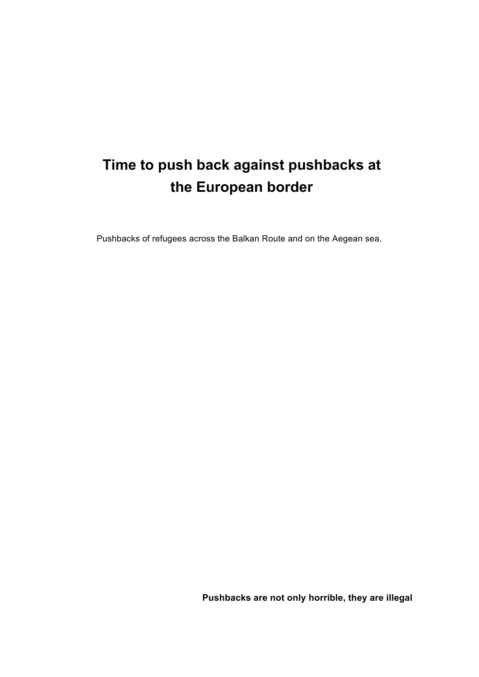# **Time to push back against pushbacks at the European border**

Pushbacks of refugees across the Balkan Route and on the Aegean sea.

**Pushbacks are not only horrible, they are illegal**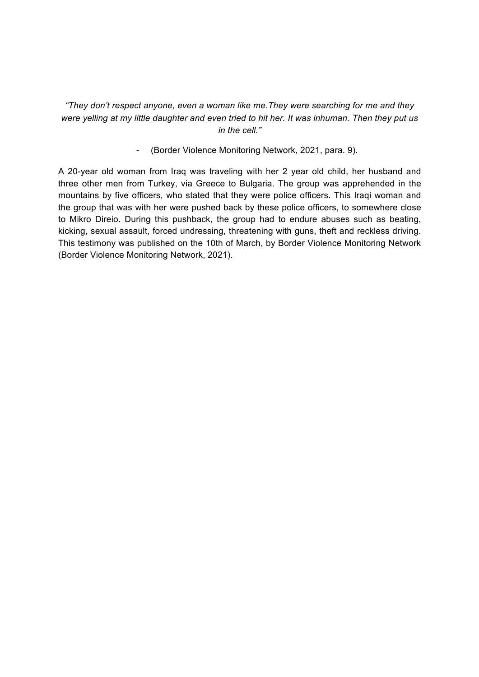*"They don't respect anyone, even a woman like me.They were searching for me and they were yelling at my little daughter and even tried to hit her. It was inhuman. Then they put us in the cell."*

- (Border Violence Monitoring Network, 2021, para. 9).

A 20-year old woman from Iraq was traveling with her 2 year old child, her husband and three other men from Turkey, via Greece to Bulgaria. The group was apprehended in the mountains by five officers, who stated that they were police officers. This Iraqi woman and the group that was with her were pushed back by these police officers, to somewhere close to Mikro Direio. During this pushback, the group had to endure abuses such as beating, kicking, sexual assault, forced undressing, threatening with guns, theft and reckless driving. This testimony was published on the 10th of March, by Border Violence Monitoring Network (Border Violence Monitoring Network, 2021).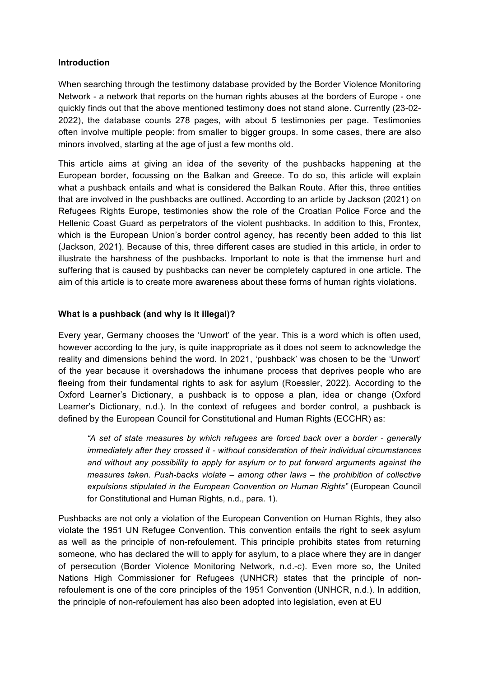#### **Introduction**

When searching through the testimony database provided by the Border Violence Monitoring Network - a network that reports on the human rights abuses at the borders of Europe - one quickly finds out that the above mentioned testimony does not stand alone. Currently (23-02- 2022), the database counts 278 pages, with about 5 testimonies per page. Testimonies often involve multiple people: from smaller to bigger groups. In some cases, there are also minors involved, starting at the age of just a few months old.

This article aims at giving an idea of the severity of the pushbacks happening at the European border, focussing on the Balkan and Greece. To do so, this article will explain what a pushback entails and what is considered the Balkan Route. After this, three entities that are involved in the pushbacks are outlined. According to an article by Jackson (2021) on Refugees Rights Europe, testimonies show the role of the Croatian Police Force and the Hellenic Coast Guard as perpetrators of the violent pushbacks. In addition to this, Frontex, which is the European Union's border control agency, has recently been added to this list (Jackson, 2021). Because of this, three different cases are studied in this article, in order to illustrate the harshness of the pushbacks. Important to note is that the immense hurt and suffering that is caused by pushbacks can never be completely captured in one article. The aim of this article is to create more awareness about these forms of human rights violations.

#### **What is a pushback (and why is it illegal)?**

Every year, Germany chooses the 'Unwort' of the year. This is a word which is often used, however according to the jury, is quite inappropriate as it does not seem to acknowledge the reality and dimensions behind the word. In 2021, 'pushback' was chosen to be the 'Unwort' of the year because it overshadows the inhumane process that deprives people who are fleeing from their fundamental rights to ask for asylum (Roessler, 2022). According to the Oxford Learner's Dictionary, a pushback is to oppose a plan, idea or change (Oxford Learner's Dictionary, n.d.). In the context of refugees and border control, a pushback is defined by the European Council for Constitutional and Human Rights (ECCHR) as:

*"A set of state measures by which refugees are forced back over a border - generally immediately after they crossed it - without consideration of their individual circumstances and without any possibility to apply for asylum or to put forward arguments against the measures taken. Push-backs violate – among other laws – the prohibition of collective expulsions stipulated in the European Convention on Human Rights"* (European Council for Constitutional and Human Rights, n.d., para. 1).

Pushbacks are not only a violation of the European Convention on Human Rights, they also violate the 1951 UN Refugee Convention. This convention entails the right to seek asylum as well as the principle of non-refoulement. This principle prohibits states from returning someone, who has declared the will to apply for asylum, to a place where they are in danger of persecution (Border Violence Monitoring Network, n.d.-c). Even more so, the United Nations High Commissioner for Refugees (UNHCR) states that the principle of nonrefoulement is one of the core principles of the 1951 Convention (UNHCR, n.d.). In addition, the principle of non-refoulement has also been adopted into legislation, even at EU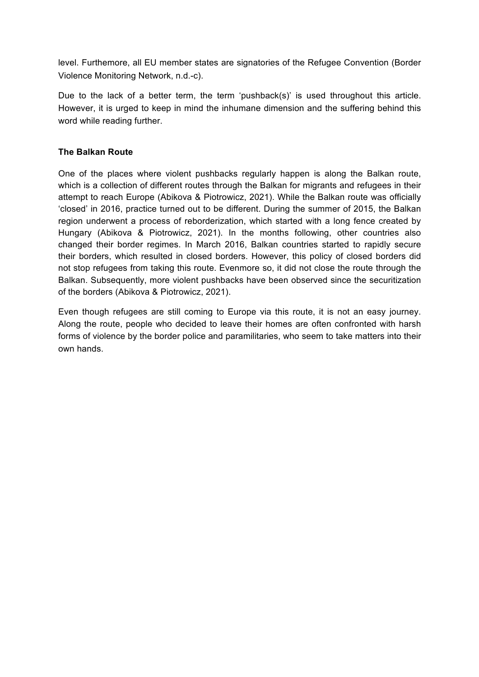level. Furthemore, all EU member states are signatories of the Refugee Convention (Border Violence Monitoring Network, n.d.-c).

Due to the lack of a better term, the term 'pushback(s)' is used throughout this article. However, it is urged to keep in mind the inhumane dimension and the suffering behind this word while reading further.

## **The Balkan Route**

One of the places where violent pushbacks regularly happen is along the Balkan route, which is a collection of different routes through the Balkan for migrants and refugees in their attempt to reach Europe (Abikova & Piotrowicz, 2021). While the Balkan route was officially 'closed' in 2016, practice turned out to be different. During the summer of 2015, the Balkan region underwent a process of reborderization, which started with a long fence created by Hungary (Abikova & Piotrowicz, 2021). In the months following, other countries also changed their border regimes. In March 2016, Balkan countries started to rapidly secure their borders, which resulted in closed borders. However, this policy of closed borders did not stop refugees from taking this route. Evenmore so, it did not close the route through the Balkan. Subsequently, more violent pushbacks have been observed since the securitization of the borders (Abikova & Piotrowicz, 2021).

Even though refugees are still coming to Europe via this route, it is not an easy journey. Along the route, people who decided to leave their homes are often confronted with harsh forms of violence by the border police and paramilitaries, who seem to take matters into their own hands.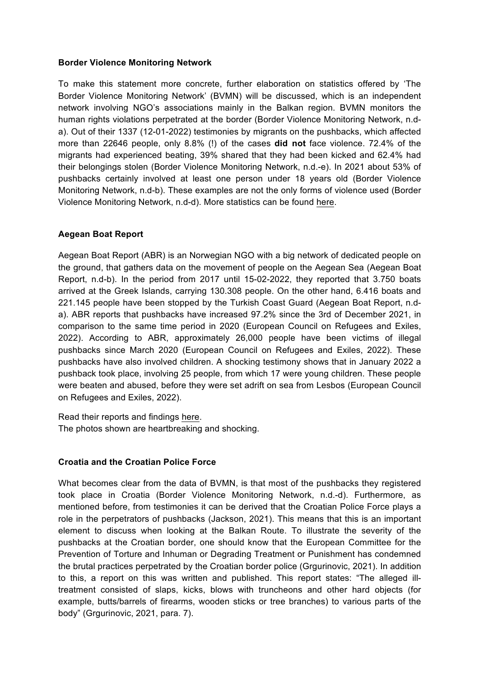### **Border Violence Monitoring Network**

To make this statement more concrete, further elaboration on statistics offered by 'The Border Violence Monitoring Network' (BVMN) will be discussed, which is an independent network involving NGO's associations mainly in the Balkan region. BVMN monitors the human rights violations perpetrated at the border (Border Violence Monitoring Network, n.da). Out of their 1337 (12-01-2022) testimonies by migrants on the pushbacks, which affected more than 22646 people, only 8.8% (!) of the cases **did not** face violence. 72.4% of the migrants had experienced beating, 39% shared that they had been kicked and 62.4% had their belongings stolen (Border Violence Monitoring Network, n.d.-e). In 2021 about 53% of pushbacks certainly involved at least one person under 18 years old (Border Violence Monitoring Network, n.d-b). These examples are not the only forms of violence used (Border Violence Monitoring Network, n.d-d). More statistics can be found here.

# **Aegean Boat Report**

Aegean Boat Report (ABR) is an Norwegian NGO with a big network of dedicated people on the ground, that gathers data on the movement of people on the Aegean Sea (Aegean Boat Report, n.d-b). In the period from 2017 until 15-02-2022, they reported that 3.750 boats arrived at the Greek Islands, carrying 130.308 people. On the other hand, 6.416 boats and 221.145 people have been stopped by the Turkish Coast Guard (Aegean Boat Report, n.da). ABR reports that pushbacks have increased 97.2% since the 3rd of December 2021, in comparison to the same time period in 2020 (European Council on Refugees and Exiles, 2022). According to ABR, approximately 26,000 people have been victims of illegal pushbacks since March 2020 (European Council on Refugees and Exiles, 2022). These pushbacks have also involved children. A shocking testimony shows that in January 2022 a pushback took place, involving 25 people, from which 17 were young children. These people were beaten and abused, before they were set adrift on sea from Lesbos (European Council on Refugees and Exiles, 2022).

Read their reports and findings here. The photos shown are heartbreaking and shocking.

#### **Croatia and the Croatian Police Force**

What becomes clear from the data of BVMN, is that most of the pushbacks they registered took place in Croatia (Border Violence Monitoring Network, n.d.-d). Furthermore, as mentioned before, from testimonies it can be derived that the Croatian Police Force plays a role in the perpetrators of pushbacks (Jackson, 2021). This means that this is an important element to discuss when looking at the Balkan Route. To illustrate the severity of the pushbacks at the Croatian border, one should know that the European Committee for the Prevention of Torture and Inhuman or Degrading Treatment or Punishment has condemned the brutal practices perpetrated by the Croatian border police (Grgurinovic, 2021). In addition to this, a report on this was written and published. This report states: "The alleged illtreatment consisted of slaps, kicks, blows with truncheons and other hard objects (for example, butts/barrels of firearms, wooden sticks or tree branches) to various parts of the body" (Grgurinovic, 2021, para. 7).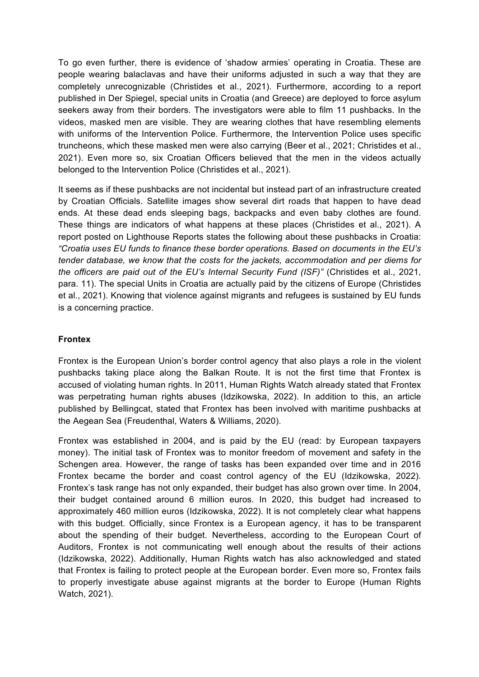To go even further, there is evidence of 'shadow armies' operating in Croatia. These are people wearing balaclavas and have their uniforms adjusted in such a way that they are completely unrecognizable (Christides et al., 2021). Furthermore, according to a report published in Der Spiegel, special units in Croatia (and Greece) are deployed to force asylum seekers away from their borders. The investigators were able to film 11 pushbacks. In the videos, masked men are visible. They are wearing clothes that have resembling elements with uniforms of the Intervention Police. Furthermore, the Intervention Police uses specific truncheons, which these masked men were also carrying (Beer et al., 2021; Christides et al., 2021). Even more so, six Croatian Officers believed that the men in the videos actually belonged to the Intervention Police (Christides et al., 2021).

It seems as if these pushbacks are not incidental but instead part of an infrastructure created by Croatian Officials. Satellite images show several dirt roads that happen to have dead ends. At these dead ends sleeping bags, backpacks and even baby clothes are found. These things are indicators of what happens at these places (Christides et al., 2021). A report posted on Lighthouse Reports states the following about these pushbacks in Croatia: *"Croatia uses EU funds to finance these border operations. Based on documents in the EU's tender database, we know that the costs for the jackets, accommodation and per diems for the officers are paid out of the EU's Internal Security Fund (ISF)"* (Christides et al., 2021, para. 11). The special Units in Croatia are actually paid by the citizens of Europe (Christides et al., 2021). Knowing that violence against migrants and refugees is sustained by EU funds is a concerning practice.

# **Frontex**

Frontex is the European Union's border control agency that also plays a role in the violent pushbacks taking place along the Balkan Route. It is not the first time that Frontex is accused of violating human rights. In 2011, Human Rights Watch already stated that Frontex was perpetrating human rights abuses (Idzikowska, 2022). In addition to this, an article published by Bellingcat, stated that Frontex has been involved with maritime pushbacks at the Aegean Sea (Freudenthal, Waters & Williams, 2020).

Frontex was established in 2004, and is paid by the EU (read: by European taxpayers money). The initial task of Frontex was to monitor freedom of movement and safety in the Schengen area. However, the range of tasks has been expanded over time and in 2016 Frontex became the border and coast control agency of the EU (Idzikowska, 2022). Frontex's task range has not only expanded, their budget has also grown over time. In 2004, their budget contained around 6 million euros. In 2020, this budget had increased to approximately 460 million euros (Idzikowska, 2022). It is not completely clear what happens with this budget. Officially, since Frontex is a European agency, it has to be transparent about the spending of their budget. Nevertheless, according to the European Court of Auditors, Frontex is not communicating well enough about the results of their actions (Idzikowska, 2022). Additionally, Human Rights watch has also acknowledged and stated that Frontex is failing to protect people at the European border. Even more so, Frontex fails to properly investigate abuse against migrants at the border to Europe (Human Rights Watch, 2021).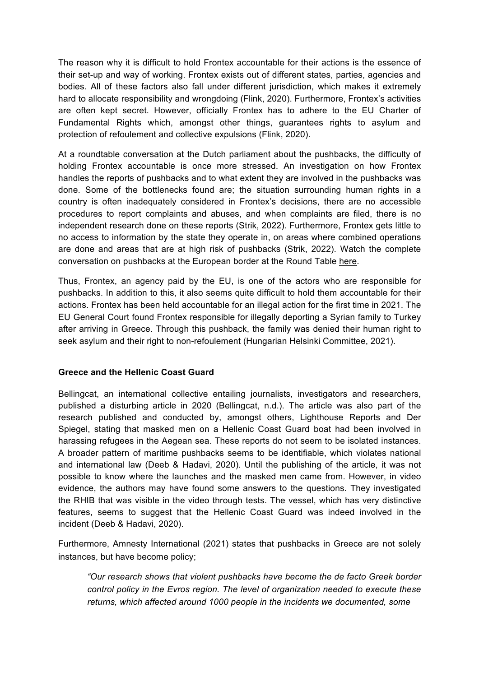The reason why it is difficult to hold Frontex accountable for their actions is the essence of their set-up and way of working. Frontex exists out of different states, parties, agencies and bodies. All of these factors also fall under different jurisdiction, which makes it extremely hard to allocate responsibility and wrongdoing (Flink, 2020). Furthermore, Frontex's activities are often kept secret. However, officially Frontex has to adhere to the EU Charter of Fundamental Rights which, amongst other things, guarantees rights to asylum and protection of refoulement and collective expulsions (Flink, 2020).

At a roundtable conversation at the Dutch parliament about the pushbacks, the difficulty of holding Frontex accountable is once more stressed. An investigation on how Frontex handles the reports of pushbacks and to what extent they are involved in the pushbacks was done. Some of the bottlenecks found are; the situation surrounding human rights in a country is often inadequately considered in Frontex's decisions, there are no accessible procedures to report complaints and abuses, and when complaints are filed, there is no independent research done on these reports (Strik, 2022). Furthermore, Frontex gets little to no access to information by the state they operate in, on areas where combined operations are done and areas that are at high risk of pushbacks (Strik, 2022). Watch the complete conversation on pushbacks at the European border at the Round Table here.

Thus, Frontex, an agency paid by the EU, is one of the actors who are responsible for pushbacks. In addition to this, it also seems quite difficult to hold them accountable for their actions. Frontex has been held accountable for an illegal action for the first time in 2021. The EU General Court found Frontex responsible for illegally deporting a Syrian family to Turkey after arriving in Greece. Through this pushback, the family was denied their human right to seek asylum and their right to non-refoulement (Hungarian Helsinki Committee, 2021).

# **Greece and the Hellenic Coast Guard**

Bellingcat, an international collective entailing journalists, investigators and researchers, published a disturbing article in 2020 (Bellingcat, n.d.). The article was also part of the research published and conducted by, amongst others, Lighthouse Reports and Der Spiegel, stating that masked men on a Hellenic Coast Guard boat had been involved in harassing refugees in the Aegean sea. These reports do not seem to be isolated instances. A broader pattern of maritime pushbacks seems to be identifiable, which violates national and international law (Deeb & Hadavi, 2020). Until the publishing of the article, it was not possible to know where the launches and the masked men came from. However, in video evidence, the authors may have found some answers to the questions. They investigated the RHIB that was visible in the video through tests. The vessel, which has very distinctive features, seems to suggest that the Hellenic Coast Guard was indeed involved in the incident (Deeb & Hadavi, 2020).

Furthermore, Amnesty International (2021) states that pushbacks in Greece are not solely instances, but have become policy;

*"Our research shows that violent pushbacks have become the de facto Greek border control policy in the Evros region. The level of organization needed to execute these returns, which affected around 1000 people in the incidents we documented, some*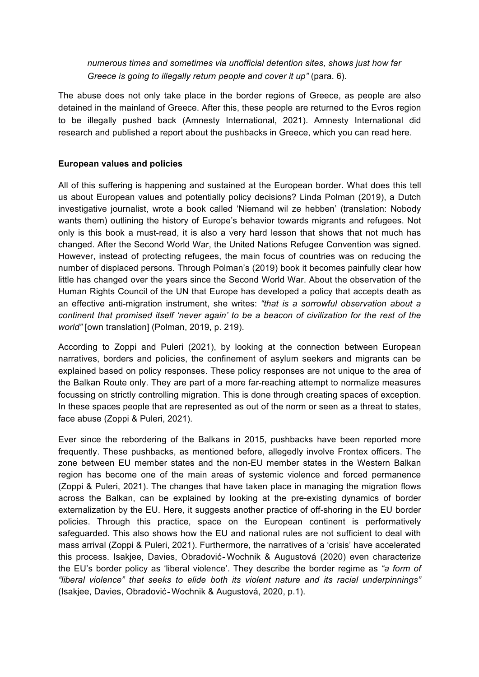*numerous times and sometimes via unofficial detention sites, shows just how far Greece is going to illegally return people and cover it up"* (para. 6).

The abuse does not only take place in the border regions of Greece, as people are also detained in the mainland of Greece. After this, these people are returned to the Evros region to be illegally pushed back (Amnesty International, 2021). Amnesty International did research and published a report about the pushbacks in Greece, which you can read here.

# **European values and policies**

All of this suffering is happening and sustained at the European border. What does this tell us about European values and potentially policy decisions? Linda Polman (2019), a Dutch investigative journalist, wrote a book called 'Niemand wil ze hebben' (translation: Nobody wants them) outlining the history of Europe's behavior towards migrants and refugees. Not only is this book a must-read, it is also a very hard lesson that shows that not much has changed. After the Second World War, the United Nations Refugee Convention was signed. However, instead of protecting refugees, the main focus of countries was on reducing the number of displaced persons. Through Polman's (2019) book it becomes painfully clear how little has changed over the years since the Second World War. About the observation of the Human Rights Council of the UN that Europe has developed a policy that accepts death as an effective anti-migration instrument, she writes: *"that is a sorrowful observation about a continent that promised itself 'never again' to be a beacon of civilization for the rest of the world"* [own translation] (Polman, 2019, p. 219).

According to Zoppi and Puleri (2021), by looking at the connection between European narratives, borders and policies, the confinement of asylum seekers and migrants can be explained based on policy responses. These policy responses are not unique to the area of the Balkan Route only. They are part of a more far-reaching attempt to normalize measures focussing on strictly controlling migration. This is done through creating spaces of exception. In these spaces people that are represented as out of the norm or seen as a threat to states, face abuse (Zoppi & Puleri, 2021).

Ever since the rebordering of the Balkans in 2015, pushbacks have been reported more frequently. These pushbacks, as mentioned before, allegedly involve Frontex officers. The zone between EU member states and the non-EU member states in the Western Balkan region has become one of the main areas of systemic violence and forced permanence (Zoppi & Puleri, 2021). The changes that have taken place in managing the migration flows across the Balkan, can be explained by looking at the pre-existing dynamics of border externalization by the EU. Here, it suggests another practice of off-shoring in the EU border policies. Through this practice, space on the European continent is performatively safeguarded. This also shows how the EU and national rules are not sufficient to deal with mass arrival (Zoppi & Puleri, 2021). Furthermore, the narratives of a 'crisis' have accelerated this process. Isakjee, Davies, Obradović‐Wochnik & Augustová (2020) even characterize the EU's border policy as 'liberal violence'. They describe the border regime as *"a form of "liberal violence" that seeks to elide both its violent nature and its racial underpinnings"*  (Isakjee, Davies, Obradović‐Wochnik & Augustová, 2020, p.1).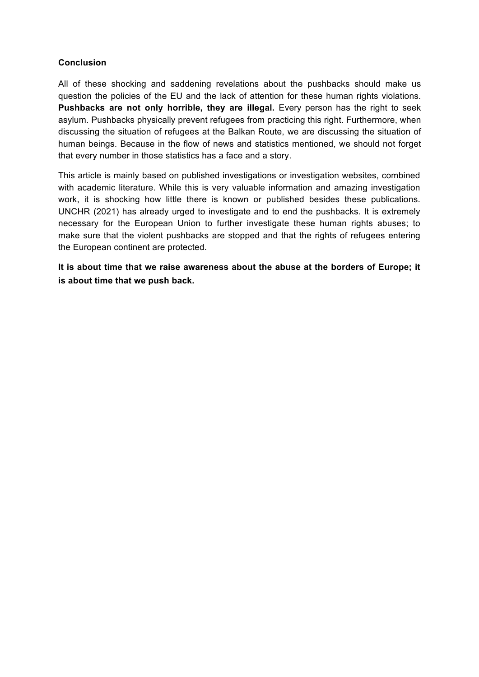## **Conclusion**

All of these shocking and saddening revelations about the pushbacks should make us question the policies of the EU and the lack of attention for these human rights violations. Pushbacks are not only horrible, they are illegal. Every person has the right to seek asylum. Pushbacks physically prevent refugees from practicing this right. Furthermore, when discussing the situation of refugees at the Balkan Route, we are discussing the situation of human beings. Because in the flow of news and statistics mentioned, we should not forget that every number in those statistics has a face and a story.

This article is mainly based on published investigations or investigation websites, combined with academic literature. While this is very valuable information and amazing investigation work, it is shocking how little there is known or published besides these publications. UNCHR (2021) has already urged to investigate and to end the pushbacks. It is extremely necessary for the European Union to further investigate these human rights abuses; to make sure that the violent pushbacks are stopped and that the rights of refugees entering the European continent are protected.

**It is about time that we raise awareness about the abuse at the borders of Europe; it is about time that we push back.**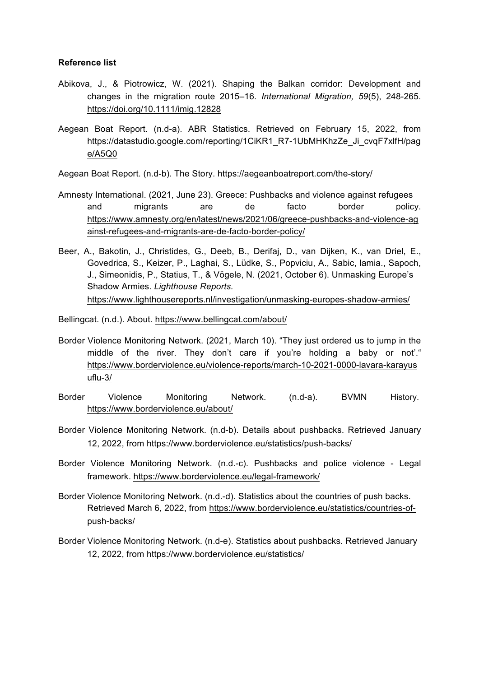#### **Reference list**

- Abikova, J., & Piotrowicz, W. (2021). Shaping the Balkan corridor: Development and changes in the migration route 2015–16. *International Migration, 59*(5), 248-265. https://doi.org/10.1111/imig.12828
- Aegean Boat Report. (n.d-a). ABR Statistics. Retrieved on February 15, 2022, from https://datastudio.google.com/reporting/1CiKR1\_R7-1UbMHKhzZe\_Ji\_cvqF7xlfH/pag e/A5Q0
- Aegean Boat Report. (n.d-b). The Story. https://aegeanboatreport.com/the-story/
- Amnesty International. (2021, June 23). Greece: Pushbacks and violence against refugees and migrants are de facto border policy. https://www.amnesty.org/en/latest/news/2021/06/greece-pushbacks-and-violence-ag ainst-refugees-and-migrants-are-de-facto-border-policy/
- Beer, A., Bakotin, J., Christides, G., Deeb, B., Derifaj, D., van Dijken, K., van Driel, E., Govedrica, S., Keizer, P., Laghai, S., Lüdke, S., Popviciu, A., Sabic, lamia., Sapoch, J., Simeonidis, P., Statius, T., & Vögele, N. (2021, October 6). Unmasking Europe's Shadow Armies. *Lighthouse Reports.* https://www.lighthousereports.nl/investigation/unmasking-europes-shadow-armies/
- Bellingcat. (n.d.). About. https://www.bellingcat.com/about/
- Border Violence Monitoring Network. (2021, March 10). "They just ordered us to jump in the middle of the river. They don't care if you're holding a baby or not'." https://www.borderviolence.eu/violence-reports/march-10-2021-0000-lavara-karayus uflu-3/
- Border Violence Monitoring Network. (n.d-a). BVMN History. https://www.borderviolence.eu/about/
- Border Violence Monitoring Network. (n.d-b). Details about pushbacks. Retrieved January 12, 2022, from https://www.borderviolence.eu/statistics/push-backs/
- Border Violence Monitoring Network. (n.d.-c). Pushbacks and police violence Legal framework. https://www.borderviolence.eu/legal-framework/
- Border Violence Monitoring Network. (n.d.-d). Statistics about the countries of push backs. Retrieved March 6, 2022, from https://www.borderviolence.eu/statistics/countries-ofpush-backs/
- Border Violence Monitoring Network. (n.d-e). Statistics about pushbacks. Retrieved January 12, 2022, from https://www.borderviolence.eu/statistics/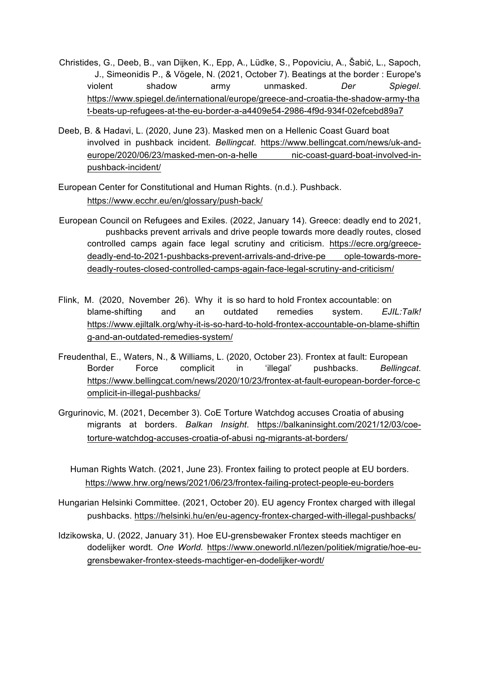- Christides, G., Deeb, B., van Dijken, K., Epp, A., Lüdke, S., Popoviciu, A., Šabić, L., Sapoch, J., Simeonidis P., & Vögele, N. (2021, October 7). Beatings at the border : Europe's violent shadow army unmasked. *Der Spiegel*. https://www.spiegel.de/international/europe/greece-and-croatia-the-shadow-army-tha t-beats-up-refugees-at-the-eu-border-a-a4409e54-2986-4f9d-934f-02efcebd89a7
- Deeb, B. & Hadavi, L. (2020, June 23). Masked men on a Hellenic Coast Guard boat involved in pushback incident. *Bellingcat*. https://www.bellingcat.com/news/uk-andeurope/2020/06/23/masked-men-on-a-helle nic-coast-guard-boat-involved-inpushback-incident/
- European Center for Constitutional and Human Rights. (n.d.). Pushback. https://www.ecchr.eu/en/glossary/push-back/
- European Council on Refugees and Exiles. (2022, January 14). Greece: deadly end to 2021, pushbacks prevent arrivals and drive people towards more deadly routes, closed controlled camps again face legal scrutiny and criticism. https://ecre.org/greecedeadly-end-to-2021-pushbacks-prevent-arrivals-and-drive-pe ople-towards-moredeadly-routes-closed-controlled-camps-again-face-legal-scrutiny-and-criticism/
- Flink, M. (2020, November 26). Why it is so hard to hold Frontex accountable: on blame-shifting and an outdated remedies system. *EJIL:Talk!* https://www.ejiltalk.org/why-it-is-so-hard-to-hold-frontex-accountable-on-blame-shiftin g-and-an-outdated-remedies-system/
- Freudenthal, E., Waters, N., & Williams, L. (2020, October 23). Frontex at fault: European Border Force complicit in 'illegal' pushbacks. *Bellingcat*. https://www.bellingcat.com/news/2020/10/23/frontex-at-fault-european-border-force-c omplicit-in-illegal-pushbacks/
- Grgurinovic, M. (2021, December 3). CoE Torture Watchdog accuses Croatia of abusing migrants at borders. *Balkan Insight*. https://balkaninsight.com/2021/12/03/coetorture-watchdog-accuses-croatia-of-abusi ng-migrants-at-borders/
	- Human Rights Watch. (2021, June 23). Frontex failing to protect people at EU borders. https://www.hrw.org/news/2021/06/23/frontex-failing-protect-people-eu-borders
- Hungarian Helsinki Committee. (2021, October 20). EU agency Frontex charged with illegal pushbacks. https://helsinki.hu/en/eu-agency-frontex-charged-with-illegal-pushbacks/
- Idzikowska, U. (2022, January 31). Hoe EU-grensbewaker Frontex steeds machtiger en dodelijker wordt. *One World.* https://www.oneworld.nl/lezen/politiek/migratie/hoe-eugrensbewaker-frontex-steeds-machtiger-en-dodelijker-wordt/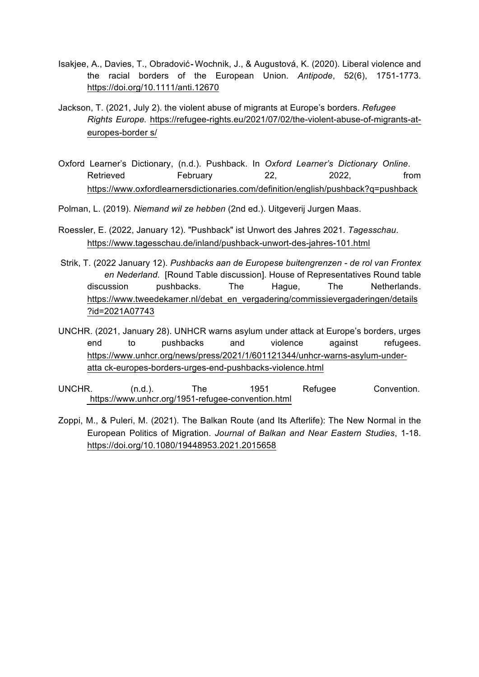- Isakjee, A., Davies, T., Obradović‐Wochnik, J., & Augustová, K. (2020). Liberal violence and the racial borders of the European Union. *Antipode*, 52(6), 1751-1773. https://doi.org/10.1111/anti.12670
- Jackson, T. (2021, July 2). the violent abuse of migrants at Europe's borders. *Refugee Rights Europe.* https://refugee-rights.eu/2021/07/02/the-violent-abuse-of-migrants-ateuropes-border s/
- Oxford Learner's Dictionary, (n.d.). Pushback. In *Oxford Learner's Dictionary Online*. Retrieved February 22, 2022, from https://www.oxfordlearnersdictionaries.com/definition/english/pushback?q=pushback

Polman, L. (2019). *Niemand wil ze hebben* (2nd ed.). Uitgeverij Jurgen Maas.

- Roessler, E. (2022, January 12). "Pushback" ist Unwort des Jahres 2021. *Tagesschau*. https://www.tagesschau.de/inland/pushback-unwort-des-jahres-101.html
- Strik, T. (2022 January 12). *Pushbacks aan de Europese buitengrenzen - de rol van Frontex en Nederland*. [Round Table discussion]. House of Representatives Round table discussion pushbacks. The Hague, The Netherlands. https://www.tweedekamer.nl/debat\_en\_vergadering/commissievergaderingen/details ?id=2021A07743
- UNCHR. (2021, January 28). UNHCR warns asylum under attack at Europe's borders, urges end to pushbacks and violence against refugees. https://www.unhcr.org/news/press/2021/1/601121344/unhcr-warns-asylum-underatta ck-europes-borders-urges-end-pushbacks-violence.html
- UNCHR. (n.d.). The 1951 Refugee Convention. https://www.unhcr.org/1951-refugee-convention.html
- Zoppi, M., & Puleri, M. (2021). The Balkan Route (and Its Afterlife): The New Normal in the European Politics of Migration. *Journal of Balkan and Near Eastern Studies*, 1-18. https://doi.org/10.1080/19448953.2021.2015658